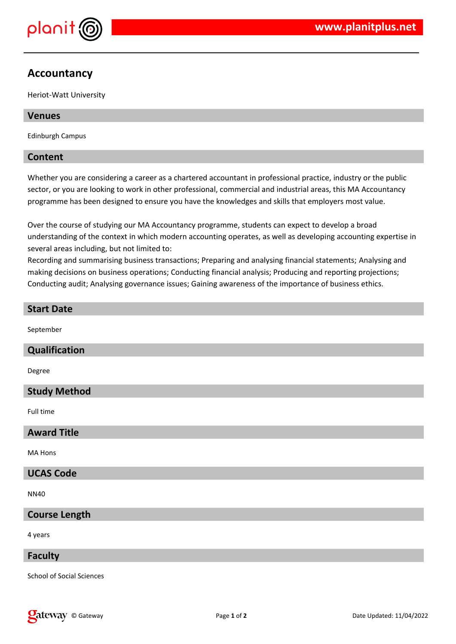

# **Accountancy**

Heriot-Watt University

# **Venues**

Edinburgh Campus

# **Content**

Whether you are considering a career as a chartered accountant in professional practice, industry or the public sector, or you are looking to work in other professional, commercial and industrial areas, this MA Accountancy programme has been designed to ensure you have the knowledges and skills that employers most value.

Over the course of studying our MA Accountancy programme, students can expect to develop a broad understanding of the context in which modern accounting operates, as well as developing accounting expertise in several areas including, but not limited to:

Recording and summarising business transactions; Preparing and analysing financial statements; Analysing and making decisions on business operations; Conducting financial analysis; Producing and reporting projections; Conducting audit; Analysing governance issues; Gaining awareness of the importance of business ethics.

# **Start Date**

September

## **Qualification**

Degree

# **Study Method**

Full time

# **Award Title**

MA Hons

# **UCAS Code**

NN40

# **Course Length**

4 years

#### **Faculty**

School of Social Sciences